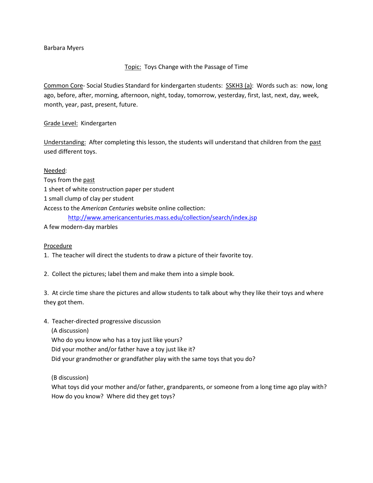Barbara Myers

### Topic: Toys Change with the Passage of Time

Common Core- Social Studies Standard for kindergarten students: SSKH3 (a): Words such as: now, long ago, before, after, morning, afternoon, night, today, tomorrow, yesterday, first, last, next, day, week, month, year, past, present, future.

Grade Level: Kindergarten

Understanding: After completing this lesson, the students will understand that children from the past used different toys.

Needed: Toys from the past 1 sheet of white construction paper per student 1 small clump of clay per student Access to the *American Centuries* website online collection: <http://www.americancenturies.mass.edu/collection/search/index.jsp> A few modern-day marbles

# Procedure

1. The teacher will direct the students to draw a picture of their favorite toy.

2. Collect the pictures; label them and make them into a simple book.

3. At circle time share the pictures and allow students to talk about why they like their toys and where they got them.

4. Teacher-directed progressive discussion

(A discussion)

Who do you know who has a toy just like yours?

Did your mother and/or father have a toy just like it?

Did your grandmother or grandfather play with the same toys that you do?

(B discussion)

 What toys did your mother and/or father, grandparents, or someone from a long time ago play with? How do you know? Where did they get toys?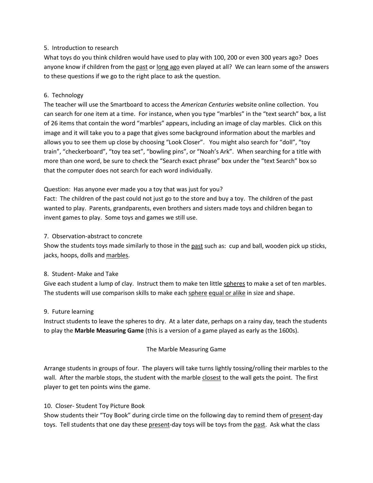### 5. Introduction to research

What toys do you think children would have used to play with 100, 200 or even 300 years ago? Does anyone know if children from the past or long ago even played at all? We can learn some of the answers to these questions if we go to the right place to ask the question.

## 6. Technology

The teacher will use the Smartboard to access the *American Centuries* website online collection. You can search for one item at a time. For instance, when you type "marbles" in the "text search" box, a list of 26 items that contain the word "marbles" appears, including an image of clay marbles. Click on this image and it will take you to a page that gives some background information about the marbles and allows you to see them up close by choosing "Look Closer". You might also search for "doll", "toy train", "checkerboard", "toy tea set", "bowling pins", or "Noah's Ark". When searching for a title with more than one word, be sure to check the "Search exact phrase" box under the "text Search" box so that the computer does not search for each word individually.

Question: Has anyone ever made you a toy that was just for you?

Fact: The children of the past could not just go to the store and buy a toy. The children of the past wanted to play. Parents, grandparents, even brothers and sisters made toys and children began to invent games to play. Some toys and games we still use.

### 7. Observation-abstract to concrete

Show the students toys made similarly to those in the past such as: cup and ball, wooden pick up sticks, jacks, hoops, dolls and marbles.

#### 8. Student- Make and Take

Give each student a lump of clay. Instruct them to make ten little spheres to make a set of ten marbles. The students will use comparison skills to make each sphere equal or alike in size and shape.

#### 9. Future learning

Instruct students to leave the spheres to dry. At a later date, perhaps on a rainy day, teach the students to play the **Marble Measuring Game** (this is a version of a game played as early as the 1600s).

# The Marble Measuring Game

Arrange students in groups of four. The players will take turns lightly tossing/rolling their marbles to the wall. After the marble stops, the student with the marble closest to the wall gets the point. The first player to get ten points wins the game.

# 10. Closer- Student Toy Picture Book

Show students their "Toy Book" during circle time on the following day to remind them of present-day toys. Tell students that one day these present-day toys will be toys from the past. Ask what the class